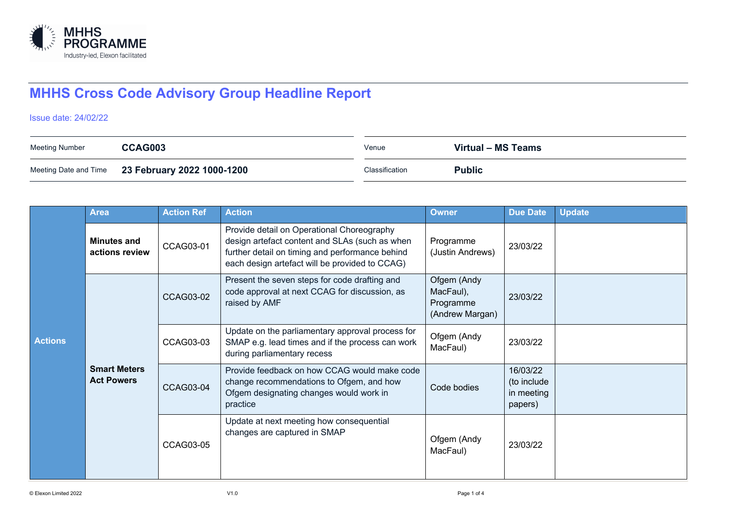

## **MHHS Cross Code Advisory Group Headline Report**

## Issue date: 24/02/22

| Meeting Number | CCAG003                                          | Venue          | Virtual – MS Teams |
|----------------|--------------------------------------------------|----------------|--------------------|
|                | Meeting Date and Time 23 February 2022 1000-1200 | Classification | <b>Public</b>      |

|                | <b>Area</b>                              | <b>Action Ref</b> | <b>Action</b>                                                                                                                                                                                     | <b>Owner</b>                                             | <b>Due Date</b>                                  | <b>Update</b> |
|----------------|------------------------------------------|-------------------|---------------------------------------------------------------------------------------------------------------------------------------------------------------------------------------------------|----------------------------------------------------------|--------------------------------------------------|---------------|
| <b>Actions</b> | <b>Minutes and</b><br>actions review     | CCAG03-01         | Provide detail on Operational Choreography<br>design artefact content and SLAs (such as when<br>further detail on timing and performance behind<br>each design artefact will be provided to CCAG) | Programme<br>(Justin Andrews)                            | 23/03/22                                         |               |
|                | <b>Smart Meters</b><br><b>Act Powers</b> | <b>CCAG03-02</b>  | Present the seven steps for code drafting and<br>code approval at next CCAG for discussion, as<br>raised by AMF                                                                                   | Ofgem (Andy<br>MacFaul),<br>Programme<br>(Andrew Margan) | 23/03/22                                         |               |
|                |                                          | CCAG03-03         | Update on the parliamentary approval process for<br>SMAP e.g. lead times and if the process can work<br>during parliamentary recess                                                               | Ofgem (Andy<br>MacFaul)                                  | 23/03/22                                         |               |
|                |                                          | CCAG03-04         | Provide feedback on how CCAG would make code<br>change recommendations to Ofgem, and how<br>Ofgem designating changes would work in<br>practice                                                   | Code bodies                                              | 16/03/22<br>(to include<br>in meeting<br>papers) |               |
|                |                                          | CCAG03-05         | Update at next meeting how consequential<br>changes are captured in SMAP                                                                                                                          | Ofgem (Andy<br>MacFaul)                                  | 23/03/22                                         |               |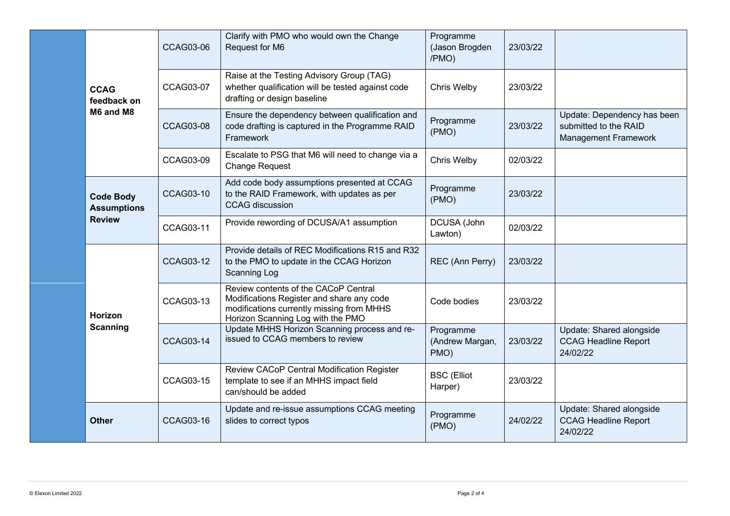|  |                                                         | <b>CCAG03-06</b> | Clarify with PMO who would own the Change<br>Request for M6                                                                                                         | Programme<br>(Jason Brogden<br>/PMO) | 23/03/22 |                                                                              |
|--|---------------------------------------------------------|------------------|---------------------------------------------------------------------------------------------------------------------------------------------------------------------|--------------------------------------|----------|------------------------------------------------------------------------------|
|  | <b>CCAG</b><br>feedback on                              | <b>CCAG03-07</b> | Raise at the Testing Advisory Group (TAG)<br>whether qualification will be tested against code<br>drafting or design baseline                                       | Chris Welby                          | 23/03/22 |                                                                              |
|  | M6 and M8                                               | <b>CCAG03-08</b> | Ensure the dependency between qualification and<br>code drafting is captured in the Programme RAID<br>Framework                                                     | Programme<br>(PMO)                   | 23/03/22 | Update: Dependency has been<br>submitted to the RAID<br>Management Framework |
|  |                                                         | <b>CCAG03-09</b> | Escalate to PSG that M6 will need to change via a<br><b>Change Request</b>                                                                                          | Chris Welby                          | 02/03/22 |                                                                              |
|  | <b>Code Body</b><br><b>Assumptions</b><br><b>Review</b> | <b>CCAG03-10</b> | Add code body assumptions presented at CCAG<br>to the RAID Framework, with updates as per<br><b>CCAG</b> discussion                                                 | Programme<br>(PMO)                   | 23/03/22 |                                                                              |
|  |                                                         | CCAG03-11        | Provide rewording of DCUSA/A1 assumption                                                                                                                            | DCUSA (John<br>Lawton)               | 02/03/22 |                                                                              |
|  |                                                         | <b>CCAG03-12</b> | Provide details of REC Modifications R15 and R32<br>to the PMO to update in the CCAG Horizon<br><b>Scanning Log</b>                                                 | REC (Ann Perry)                      | 23/03/22 |                                                                              |
|  | <b>Horizon</b>                                          | CCAG03-13        | Review contents of the CACoP Central<br>Modifications Register and share any code<br>modifications currently missing from MHHS<br>Horizon Scanning Log with the PMO | Code bodies                          | 23/03/22 |                                                                              |
|  | <b>Scanning</b>                                         | <b>CCAG03-14</b> | Update MHHS Horizon Scanning process and re-<br>issued to CCAG members to review                                                                                    | Programme<br>(Andrew Margan,<br>PMO) | 23/03/22 | Update: Shared alongside<br><b>CCAG Headline Report</b><br>24/02/22          |
|  |                                                         | <b>CCAG03-15</b> | Review CACoP Central Modification Register<br>template to see if an MHHS impact field<br>can/should be added                                                        | <b>BSC</b> (Elliot<br>Harper)        | 23/03/22 |                                                                              |
|  | <b>Other</b>                                            | CCAG03-16        | Update and re-issue assumptions CCAG meeting<br>slides to correct typos                                                                                             | Programme<br>(PMO)                   | 24/02/22 | Update: Shared alongside<br><b>CCAG Headline Report</b><br>24/02/22          |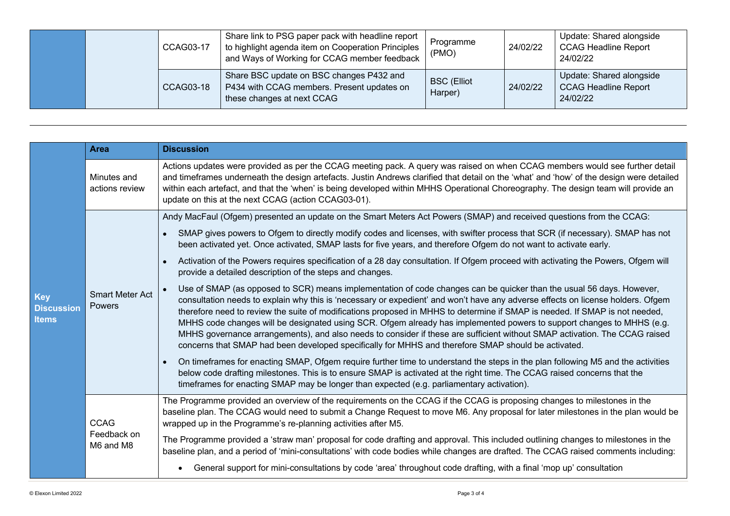|  | CCAG03-17 | Share link to PSG paper pack with headline report<br>to highlight agenda item on Cooperation Principles<br>and Ways of Working for CCAG member feedback | Programme<br>(PMO)            | 24/02/22 | Update: Shared alongside<br><b>CCAG Headline Report</b><br>24/02/22 |
|--|-----------|---------------------------------------------------------------------------------------------------------------------------------------------------------|-------------------------------|----------|---------------------------------------------------------------------|
|  | CCAG03-18 | Share BSC update on BSC changes P432 and<br>P434 with CCAG members. Present updates on<br>these changes at next CCAG                                    | <b>BSC</b> (Elliot<br>Harper) | 24/02/22 | Update: Shared alongside<br><b>CCAG Headline Report</b><br>24/02/22 |

|                                                 | <b>Area</b>                             | <b>Discussion</b>                                                                                                                                                                                                                                                                                                                                                                                                                                                                                                                                                                                                                                                                                                                                    |  |  |  |
|-------------------------------------------------|-----------------------------------------|------------------------------------------------------------------------------------------------------------------------------------------------------------------------------------------------------------------------------------------------------------------------------------------------------------------------------------------------------------------------------------------------------------------------------------------------------------------------------------------------------------------------------------------------------------------------------------------------------------------------------------------------------------------------------------------------------------------------------------------------------|--|--|--|
| <b>Key</b><br><b>Discussion</b><br><b>Items</b> | Minutes and<br>actions review           | Actions updates were provided as per the CCAG meeting pack. A query was raised on when CCAG members would see further detail<br>and timeframes underneath the design artefacts. Justin Andrews clarified that detail on the 'what' and 'how' of the design were detailed<br>within each artefact, and that the 'when' is being developed within MHHS Operational Choreography. The design team will provide an<br>update on this at the next CCAG (action CCAG03-01).                                                                                                                                                                                                                                                                                |  |  |  |
|                                                 |                                         | Andy MacFaul (Ofgem) presented an update on the Smart Meters Act Powers (SMAP) and received questions from the CCAG:                                                                                                                                                                                                                                                                                                                                                                                                                                                                                                                                                                                                                                 |  |  |  |
|                                                 | <b>Smart Meter Act</b><br>Powers        | SMAP gives powers to Ofgem to directly modify codes and licenses, with swifter process that SCR (if necessary). SMAP has not<br>$\bullet$<br>been activated yet. Once activated, SMAP lasts for five years, and therefore Ofgem do not want to activate early.                                                                                                                                                                                                                                                                                                                                                                                                                                                                                       |  |  |  |
|                                                 |                                         | Activation of the Powers requires specification of a 28 day consultation. If Ofgem proceed with activating the Powers, Ofgem will<br>provide a detailed description of the steps and changes.                                                                                                                                                                                                                                                                                                                                                                                                                                                                                                                                                        |  |  |  |
|                                                 |                                         | Use of SMAP (as opposed to SCR) means implementation of code changes can be quicker than the usual 56 days. However,<br>consultation needs to explain why this is 'necessary or expedient' and won't have any adverse effects on license holders. Ofgem<br>therefore need to review the suite of modifications proposed in MHHS to determine if SMAP is needed. If SMAP is not needed,<br>MHHS code changes will be designated using SCR. Ofgem already has implemented powers to support changes to MHHS (e.g.<br>MHHS governance arrangements), and also needs to consider if these are sufficient without SMAP activation. The CCAG raised<br>concerns that SMAP had been developed specifically for MHHS and therefore SMAP should be activated. |  |  |  |
|                                                 |                                         | On timeframes for enacting SMAP, Ofgem require further time to understand the steps in the plan following M5 and the activities<br>$\bullet$<br>below code drafting milestones. This is to ensure SMAP is activated at the right time. The CCAG raised concerns that the<br>timeframes for enacting SMAP may be longer than expected (e.g. parliamentary activation).                                                                                                                                                                                                                                                                                                                                                                                |  |  |  |
|                                                 | <b>CCAG</b><br>Feedback on<br>M6 and M8 | The Programme provided an overview of the requirements on the CCAG if the CCAG is proposing changes to milestones in the<br>baseline plan. The CCAG would need to submit a Change Request to move M6. Any proposal for later milestones in the plan would be<br>wrapped up in the Programme's re-planning activities after M5.                                                                                                                                                                                                                                                                                                                                                                                                                       |  |  |  |
|                                                 |                                         | The Programme provided a 'straw man' proposal for code drafting and approval. This included outlining changes to milestones in the<br>baseline plan, and a period of 'mini-consultations' with code bodies while changes are drafted. The CCAG raised comments including:                                                                                                                                                                                                                                                                                                                                                                                                                                                                            |  |  |  |
|                                                 |                                         | General support for mini-consultations by code 'area' throughout code drafting, with a final 'mop up' consultation                                                                                                                                                                                                                                                                                                                                                                                                                                                                                                                                                                                                                                   |  |  |  |